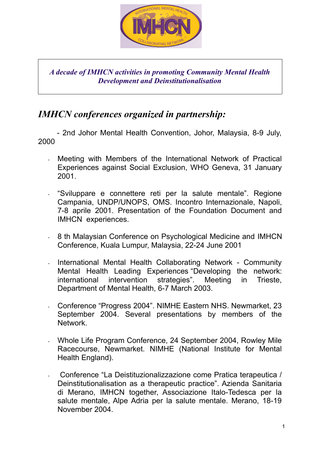

*A decade of IMHCN activities in promoting Community Mental Health Development and Deinstitutionalisation*

## *IMHCN conferences organized in partnership:*

 - 2nd Johor Mental Health Convention, Johor, Malaysia, 8-9 July, 2000

- Meeting with Members of the International Network of Practical Experiences against Social Exclusion, WHO Geneva, 31 January 2001.
- "Sviluppare e connettere reti per la salute mentale". Regione Campania, UNDP/UNOPS, OMS. Incontro Internazionale, Napoli, 7-8 aprile 2001. Presentation of the Foundation Document and IMHCN experiences.
- 8 th Malaysian Conference on Psychological Medicine and IMHCN Conference, Kuala Lumpur, Malaysia, 22-24 June 2001
- International Mental Health Collaborating Network Community Mental Health Leading Experiences "Developing the network: international intervention strategies". Meeting in Trieste, Department of Mental Health, 6-7 March 2003.
- Conference "Progress 2004". NIMHE Eastern NHS. Newmarket, 23 September 2004. Several presentations by members of the Network.
- Whole Life Program Conference, 24 September 2004, Rowley Mile Racecourse, Newmarket. NIMHE (National Institute for Mental Health England).
- Conference "La Deistituzionalizzazione come Pratica terapeutica / Deinstitutionalisation as a therapeutic practice". Azienda Sanitaria di Merano, IMHCN together, Associazione Italo-Tedesca per la salute mentale, Alpe Adria per la salute mentale. Merano, 18-19 November 2004.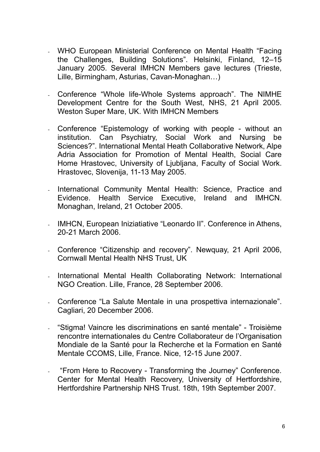- WHO European Ministerial Conference on Mental Health "Facing the Challenges, Building Solutions". Helsinki, Finland, 12–15 January 2005. Several IMHCN Members gave lectures (Trieste, Lille, Birmingham, Asturias, Cavan-Monaghan…)
- Conference "Whole life-Whole Systems approach". The NIMHE Development Centre for the South West, NHS, 21 April 2005. Weston Super Mare, UK. With IMHCN Members
- Conference "Epistemology of working with people without an institution. Can Psychiatry, Social Work and Nursing be Sciences?". International Mental Heath Collaborative Network, Alpe Adria Association for Promotion of Mental Health, Social Care Home Hrastovec, University of Ljubljana, Faculty of Social Work. Hrastovec, Slovenija, 11-13 May 2005.
- International Community Mental Health: Science, Practice and Evidence. Health Service Executive, Ireland and IMHCN. Monaghan, Ireland, 21 October 2005.
- IMHCN, European Iniziatiative "Leonardo II". Conference in Athens, 20-21 March 2006.
- Conference "Citizenship and recovery". Newquay, 21 April 2006, Cornwall Mental Health NHS Trust, UK
- International Mental Health Collaborating Network: International NGO Creation. Lille, France, 28 September 2006.
- Conference "La Salute Mentale in una prospettiva internazionale". Cagliari, 20 December 2006.
- "Stigma! Vaincre les discriminations en santé mentale" Troisième rencontre internationales du Centre Collaborateur de l'Organisation Mondiale de la Santé pour la Recherche et la Formation en Santé Mentale CCOMS, Lille, France. Nice, 12-15 June 2007.
- "From Here to Recovery Transforming the Journey" Conference. Center for Mental Health Recovery, University of Hertfordshire, Hertfordshire Partnership NHS Trust. 18th, 19th September 2007.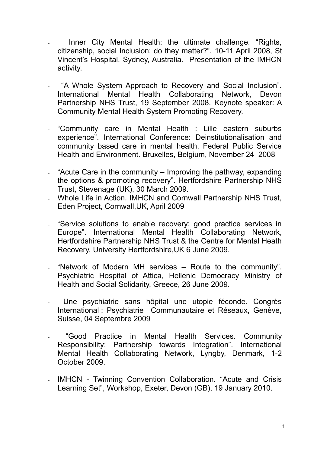- Inner City Mental Health: the ultimate challenge. "Rights, citizenship, social Inclusion: do they matter?". 10-11 April 2008, St Vincent's Hospital, Sydney, Australia. Presentation of the IMHCN activity.
- "A Whole System Approach to Recovery and Social Inclusion". International Mental Health Collaborating Network, Devon Partnership NHS Trust, 19 September 2008. Keynote speaker: A Community Mental Health System Promoting Recovery.
- "Community care in Mental Health : Lille eastern suburbs experience". International Conference: Deinstitutionalisation and community based care in mental health. Federal Public Service Health and Environment. Bruxelles, Belgium, November 24 2008
- "Acute Care in the community Improving the pathway, expanding the options & promoting recovery". Hertfordshire Partnership NHS Trust, Stevenage (UK), 30 March 2009.
- Whole Life in Action. IMHCN and Cornwall Partnership NHS Trust, Eden Project, Cornwall,UK, April 2009
- "Service solutions to enable recovery: good practice services in Europe". International Mental Health Collaborating Network, Hertfordshire Partnership NHS Trust & the Centre for Mental Heath Recovery, University Hertfordshire,UK 6 June 2009.
- "Network of Modern MH services Route to the community". Psychiatric Hospital of Attica, Hellenic Democracy Ministry of Health and Social Solidarity, Greece, 26 June 2009.
- Une psychiatrie sans hôpital une utopie féconde. Congrès International : Psychiatrie Communautaire et Réseaux, Genève, Suisse, 04 Septembre 2009
- "Good Practice in Mental Health Services. Community Responsibility: Partnership towards Integration". International Mental Health Collaborating Network, Lyngby, Denmark, 1-2 October 2009.
- IMHCN Twinning Convention Collaboration. "Acute and Crisis Learning Set", Workshop, Exeter, Devon (GB), 19 January 2010.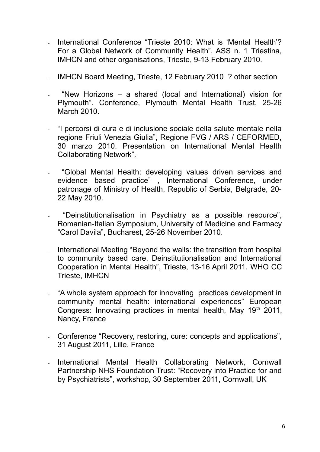- International Conference "Trieste 2010: What is 'Mental Health'? For a Global Network of Community Health". ASS n. 1 Triestina, IMHCN and other organisations, Trieste, 9-13 February 2010.
- IMHCN Board Meeting, Trieste, 12 February 2010 ? other section
- "New Horizons a shared (local and International) vision for Plymouth". Conference, Plymouth Mental Health Trust, 25-26 March 2010.
- "I percorsi di cura e di inclusione sociale della salute mentale nella regione Friuli Venezia Giulia", Regione FVG / ARS / CEFORMED, 30 marzo 2010. Presentation on International Mental Health Collaborating Network".
- "Global Mental Health: developing values driven services and evidence based practice" , International Conference, under patronage of Ministry of Health, Republic of Serbia, Belgrade, 20- 22 May 2010.
- "Deinstitutionalisation in Psychiatry as a possible resource", Romanian-Italian Symposium, University of Medicine and Farmacy "Carol Davila", Bucharest, 25-26 November 2010.
- International Meeting "Beyond the walls: the transition from hospital to community based care. Deinstitutionalisation and International Cooperation in Mental Health", Trieste, 13-16 April 2011. WHO CC Trieste, IMHCN
- "A whole system approach for innovating practices development in community mental health: international experiences" European Congress: Innovating practices in mental health, May 19<sup>th</sup> 2011. Nancy, France
- Conference "Recovery, restoring, cure: concepts and applications", 31 August 2011, Lille, France
- International Mental Health Collaborating Network, Cornwall Partnership NHS Foundation Trust: "Recovery into Practice for and by Psychiatrists", workshop, 30 September 2011, Cornwall, UK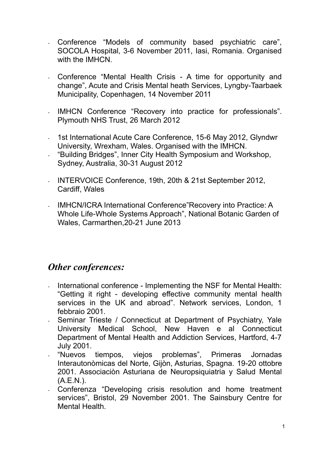- Conference "Models of community based psychiatric care", SOCOLA Hospital, 3-6 November 2011, Iasi, Romania. Organised with the **IMHCN**
- Conference "Mental Health Crisis A time for opportunity and change", Acute and Crisis Mental heath Services, Lyngby-Taarbaek Municipality, Copenhagen, 14 November 2011
- IMHCN Conference "Recovery into practice for professionals". Plymouth NHS Trust, 26 March 2012
- 1st International Acute Care Conference, 15-6 May 2012, Glyndwr University, Wrexham, Wales. Organised with the IMHCN.
- "Building Bridges", Inner City Health Symposium and Workshop, Sydney, Australia, 30-31 August 2012
- INTERVOICE Conference, 19th, 20th & 21st September 2012, Cardiff, Wales
- IMHCN/ICRA International Conference"Recovery into Practice: A Whole Life-Whole Systems Approach", National Botanic Garden of Wales, Carmarthen,20-21 June 2013

### *Other conferences:*

- International conference Implementing the NSF for Mental Health: "Getting it right - developing effective community mental health services in the UK and abroad". Network services, London, 1 febbraio 2001.
- Seminar Trieste / Connecticut at Department of Psychiatry, Yale University Medical School, New Haven e al Connecticut Department of Mental Health and Addiction Services, Hartford, 4-7 July 2001.
- "Nuevos tiempos, viejos problemas", Primeras Jornadas Interautonòmicas del Norte, Gijòn, Asturias, Spagna. 19-20 ottobre 2001. Associaciòn Asturiana de Neuropsiquiatria y Salud Mental (A.E.N.).
- Conferenza "Developing crisis resolution and home treatment services", Bristol, 29 November 2001. The Sainsbury Centre for Mental Health.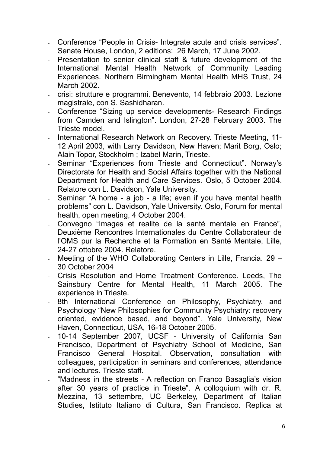- Conference "People in Crisis- Integrate acute and crisis services". Senate House, London, 2 editions: 26 March, 17 June 2002.
- Presentation to senior clinical staff & future development of the International Mental Health Network of Community Leading Experiences. Northern Birmingham Mental Health MHS Trust, 24 March 2002.
- crisi: strutture e programmi. Benevento, 14 febbraio 2003. Lezione magistrale, con S. Sashidharan.
- Conference "Sizing up service developments- Research Findings from Camden and Islington". London, 27-28 February 2003. The Trieste model.
- International Research Network on Recovery. Trieste Meeting, 11- 12 April 2003, with Larry Davidson, New Haven; Marit Borg, Oslo; Alain Topor, Stockholm ; Izabel Marin, Trieste.
- Seminar "Experiences from Trieste and Connecticut". Norway's Directorate for Health and Social Affairs together with the National Department for Health and Care Services. Oslo, 5 October 2004. Relatore con L. Davidson, Yale University.
- Seminar "A home a job a life; even if you have mental health problems" con L. Davidson, Yale University. Oslo, Forum for mental health, open meeting, 4 October 2004.
- Convegno "Images et realite de la santé mentale en France". Deuxième Rencontres Internationales du Centre Collaborateur de l'OMS pur la Recherche et la Formation en Santé Mentale, Lille, 24-27 ottobre 2004. Relatore.
- Meeting of the WHO Collaborating Centers in Lille, Francia. 29 30 October 2004
- Crisis Resolution and Home Treatment Conference. Leeds, The Sainsbury Centre for Mental Health, 11 March 2005. The experience in Trieste.
- 8th International Conference on Philosophy, Psychiatry, and Psychology "New Philosophies for Community Psychiatry: recovery oriented, evidence based, and beyond". Yale University, New Haven, Connecticut, USA, 16-18 October 2005.
- 10-14 September 2007, UCSF University of California San Francisco, Department of Psychiatry School of Medicine, San Francisco General Hospital. Observation, consultation with colleagues, participation in seminars and conferences, attendance and lectures. Trieste staff.
- "Madness in the streets A reflection on Franco Basaglia's vision after 30 years of practice in Trieste". A colloquium with dr. R. Mezzina, 13 settembre, UC Berkeley, Department of Italian Studies, Istituto Italiano di Cultura, San Francisco. Replica at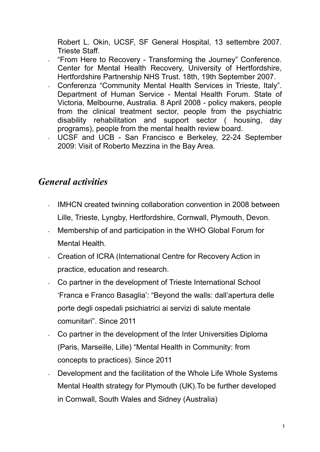Robert L. Okin, UCSF, SF General Hospital, 13 settembre 2007. Trieste Staff.

- "From Here to Recovery Transforming the Journey" Conference. Center for Mental Health Recovery, University of Hertfordshire, Hertfordshire Partnership NHS Trust. 18th, 19th September 2007.
- Conferenza "Community Mental Health Services in Trieste, Italy". Department of Human Service - Mental Health Forum. State of Victoria, Melbourne, Australia. 8 April 2008 - policy makers, people from the clinical treatment sector, people from the psychiatric disability rehabilitation and support sector ( housing, day programs), people from the mental health review board.
- UCSF and UCB San Francisco e Berkeley, 22-24 September 2009: Visit of Roberto Mezzina in the Bay Area.

## *General activities*

- IMHCN created twinning collaboration convention in 2008 between Lille, Trieste, Lyngby, Hertfordshire, Cornwall, Plymouth, Devon.
- Membership of and participation in the WHO Global Forum for Mental Health.
- Creation of ICRA (International Centre for Recovery Action in practice, education and research.
- Co partner in the development of Trieste International School 'Franca e Franco Basaglia': "Beyond the walls: dall'apertura delle porte degli ospedali psichiatrici ai servizi di salute mentale comunitari". Since 2011
- Co partner in the development of the Inter Universities Diploma (Paris, Marseille, Lille) "Mental Health in Community: from concepts to practices). Since 2011
- Development and the facilitation of the Whole Life Whole Systems Mental Health strategy for Plymouth (UK).To be further developed in Cornwall, South Wales and Sidney (Australia)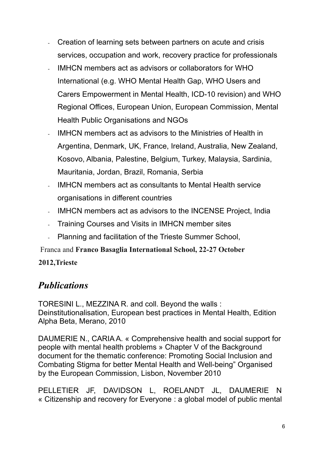- Creation of learning sets between partners on acute and crisis services, occupation and work, recovery practice for professionals
- IMHCN members act as advisors or collaborators for WHO International (e.g. WHO Mental Health Gap, WHO Users and Carers Empowerment in Mental Health, ICD-10 revision) and WHO Regional Offices, European Union, European Commission, Mental Health Public Organisations and NGOs
- IMHCN members act as advisors to the Ministries of Health in Argentina, Denmark, UK, France, Ireland, Australia, New Zealand, Kosovo, Albania, Palestine, Belgium, Turkey, Malaysia, Sardinia, Mauritania, Jordan, Brazil, Romania, Serbia
- IMHCN members act as consultants to Mental Health service organisations in different countries
- IMHCN members act as advisors to the INCENSE Project, India
- Training Courses and Visits in IMHCN member sites
- Planning and facilitation of the Trieste Summer School,

Franca and **Franco Basaglia International School, 22-27 October** 

#### **2012,Trieste**

# *Publications*

TORESINI L., MEZZINA R. and coll. Beyond the walls : Deinstitutionalisation, European best practices in Mental Health, Edition Alpha Beta, Merano, 2010

DAUMERIE N., CARIA A. « Comprehensive health and social support for people with mental health problems » Chapter V of the Background document for the thematic conference: Promoting Social Inclusion and Combating Stigma for better Mental Health and Well-being" Organised by the European Commission, Lisbon, November 2010

PELLETIER JF, DAVIDSON L, ROELANDT JL, DAUMERIE N « Citizenship and recovery for Everyone : a global model of public mental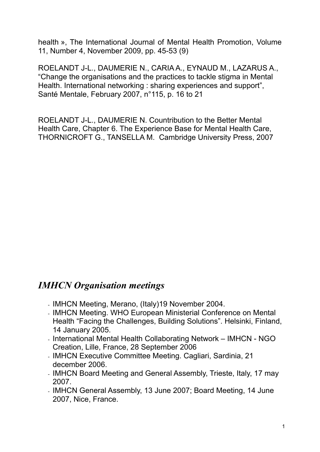health », The International Journal of Mental Health Promotion, Volume 11, Number 4, November 2009, pp. 45-53 (9)

ROELANDT J-L., DAUMERIE N., CARIA A., EYNAUD M., LAZARUS A., "Change the organisations and the practices to tackle stigma in Mental Health. International networking : sharing experiences and support", Santé Mentale, February 2007, n°115, p. 16 to 21

ROELANDT J-L., DAUMERIE N. Countribution to the Better Mental Health Care, Chapter 6. The Experience Base for Mental Health Care, THORNICROFT G., TANSELLA M. Cambridge University Press, 2007

## *IMHCN Organisation meetings*

- IMHCN Meeting, Merano, (Italy)19 November 2004.
- IMHCN Meeting. WHO European Ministerial Conference on Mental Health "Facing the Challenges, Building Solutions". Helsinki, Finland, 14 January 2005.
- International Mental Health Collaborating Network IMHCN NGO Creation, Lille, France, 28 September 2006
- IMHCN Executive Committee Meeting. Cagliari, Sardinia, 21 december 2006.
- IMHCN Board Meeting and General Assembly, Trieste, Italy, 17 may 2007.
- IMHCN General Assembly, 13 June 2007; Board Meeting, 14 June 2007, Nice, France.